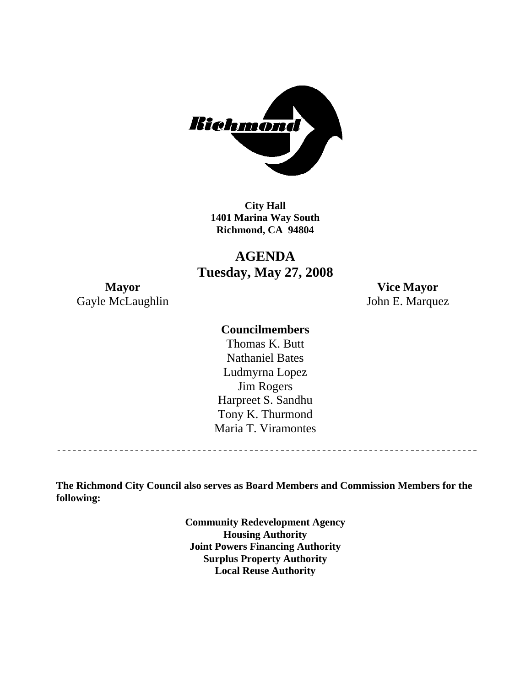

**City Hall 1401 Marina Way South Richmond, CA 94804** 

**AGENDA Tuesday, May 27, 2008** 

**Mayor Vice Mayor**  Gayle McLaughlin John E. Marquez

# **Councilmembers**

Harpreet S. Sandhu Tony K. Thurmond Maria T. Viramontes Thomas K. Butt Nathaniel Bates Ludmyrna Lopez Jim Rogers

**The Richmond City Council also serves as Board Members and Commission Members for the following:** 

> **Community Redevelopment Agency Housing Authority Joint Powers Financing Authority Surplus Property Authority Local Reuse Authority**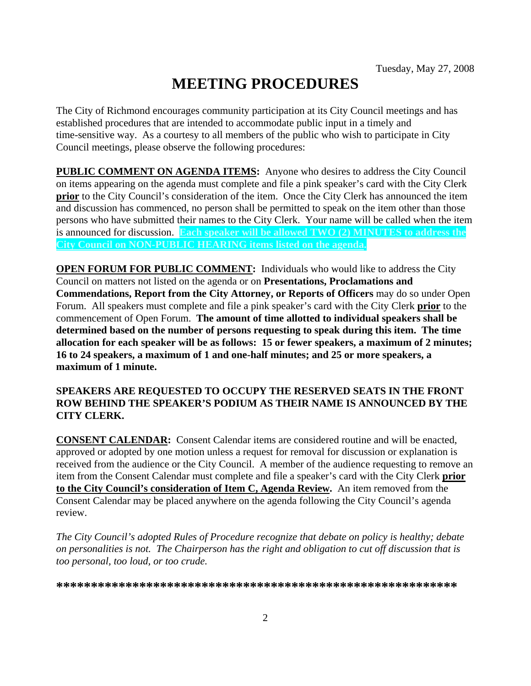# **MEETING PROCEDURES**

The City of Richmond encourages community participation at its City Council meetings and has established procedures that are intended to accommodate public input in a timely and time-sensitive way. As a courtesy to all members of the public who wish to participate in City Council meetings, please observe the following procedures:

**PUBLIC COMMENT ON AGENDA ITEMS:** Anyone who desires to address the City Council on items appearing on the agenda must complete and file a pink speaker's card with the City Clerk **prior** to the City Council's consideration of the item. Once the City Clerk has announced the item and discussion has commenced, no person shall be permitted to speak on the item other than those persons who have submitted their names to the City Clerk. Your name will be called when the item is announced for discussion. **Each speaker will be allowed TWO (2) MINUTES to address the City Council on NON-PUBLIC HEARING items listed on the agenda.** 

**OPEN FORUM FOR PUBLIC COMMENT:** Individuals who would like to address the City Council on matters not listed on the agenda or on **Presentations, Proclamations and Commendations, Report from the City Attorney, or Reports of Officers** may do so under Open Forum. All speakers must complete and file a pink speaker's card with the City Clerk **prior** to the commencement of Open Forum. **The amount of time allotted to individual speakers shall be determined based on the number of persons requesting to speak during this item. The time allocation for each speaker will be as follows: 15 or fewer speakers, a maximum of 2 minutes; 16 to 24 speakers, a maximum of 1 and one-half minutes; and 25 or more speakers, a maximum of 1 minute.** 

#### **SPEAKERS ARE REQUESTED TO OCCUPY THE RESERVED SEATS IN THE FRONT ROW BEHIND THE SPEAKER'S PODIUM AS THEIR NAME IS ANNOUNCED BY THE CITY CLERK.**

**CONSENT CALENDAR:** Consent Calendar items are considered routine and will be enacted, approved or adopted by one motion unless a request for removal for discussion or explanation is received from the audience or the City Council. A member of the audience requesting to remove an item from the Consent Calendar must complete and file a speaker's card with the City Clerk **prior to the City Council's consideration of Item C, Agenda Review.** An item removed from the Consent Calendar may be placed anywhere on the agenda following the City Council's agenda review.

*The City Council's adopted Rules of Procedure recognize that debate on policy is healthy; debate on personalities is not. The Chairperson has the right and obligation to cut off discussion that is too personal, too loud, or too crude.* 

**\*\*\*\*\*\*\*\*\*\*\*\*\*\*\*\*\*\*\*\*\*\*\*\*\*\*\*\*\*\*\*\*\*\*\*\*\*\*\*\*\*\*\*\*\*\*\*\*\*\*\*\*\*\*\*\*\*\***